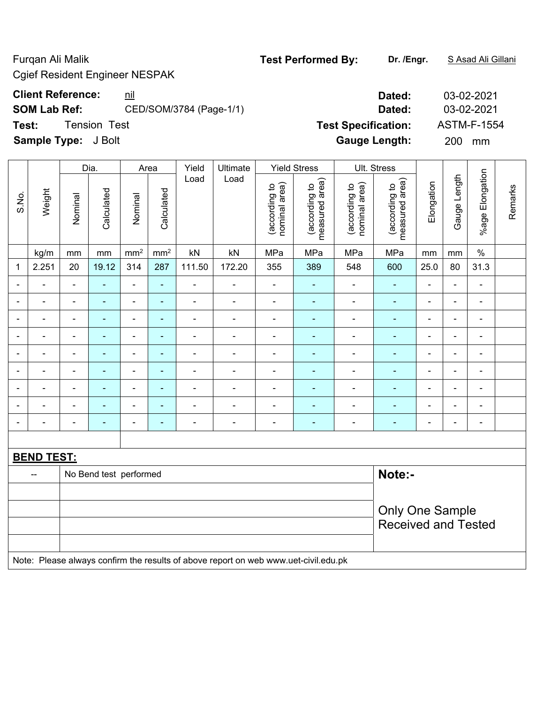Cgief Resident Engineer NESPAK

**SOM Lab Ref:** CED/SOM/3784 (Page-1/1) **Dated:** 03-02-2021

**Test:** Tension Test **Test Specification:** ASTM-F-1554

**Sample Type:** J Bolt **Gauge Length:** 200 mm

|                |                   |                            | Dia.                   | Area           |                | Yield                    | Ultimate                                                                            | <b>Yield Stress</b>            |                                 |                                | Ult. Stress                     |                          |                          |                 |         |
|----------------|-------------------|----------------------------|------------------------|----------------|----------------|--------------------------|-------------------------------------------------------------------------------------|--------------------------------|---------------------------------|--------------------------------|---------------------------------|--------------------------|--------------------------|-----------------|---------|
| S.No.          | Weight            | Nominal                    | Calculated             | Nominal        | Calculated     | Load                     | Load                                                                                | nominal area)<br>(according to | measured area)<br>(according to | (according to<br>nominal area) | measured area)<br>(according to | Elongation               | Gauge Length             | %age Elongation | Remarks |
|                | kg/m              | mm                         | mm                     | $\rm mm^2$     | $\rm mm^2$     | kN                       | kN                                                                                  | MPa                            | MPa                             | MPa                            | MPa                             | mm                       | mm                       | $\frac{1}{2}$   |         |
| 1              | 2.251             | 20                         | 19.12                  | 314            | 287            | 111.50                   | 172.20                                                                              | 355                            | 389                             | 548                            | 600                             | 25.0                     | 80                       | 31.3            |         |
|                |                   | $\blacksquare$             | ÷,                     | $\blacksquare$ | ä,             | $\overline{\phantom{a}}$ | $\blacksquare$                                                                      | $\blacksquare$                 | $\blacksquare$                  | $\blacksquare$                 | ÷,                              | $\blacksquare$           | $\blacksquare$           | $\blacksquare$  |         |
|                |                   |                            |                        |                | ÷              |                          | $\overline{\phantom{0}}$                                                            | $\blacksquare$                 | ۰                               | ۰                              | $\blacksquare$                  |                          | $\overline{\phantom{0}}$ | $\blacksquare$  |         |
|                |                   | $\blacksquare$             | $\blacksquare$         | ÷,             | $\blacksquare$ |                          | $\blacksquare$                                                                      | $\blacksquare$                 | $\blacksquare$                  | ÷                              | $\blacksquare$                  | ÷,                       | $\blacksquare$           | $\blacksquare$  |         |
| $\blacksquare$ | $\blacksquare$    | $\blacksquare$             | $\blacksquare$         | $\blacksquare$ | $\blacksquare$ | ä,                       | $\blacksquare$                                                                      | $\blacksquare$                 | $\blacksquare$                  | $\qquad \qquad \blacksquare$   | $\blacksquare$                  | $\blacksquare$           | $\blacksquare$           | $\blacksquare$  |         |
|                | ۰                 | $\blacksquare$             | $\blacksquare$         | $\blacksquare$ | $\blacksquare$ | $\blacksquare$           | $\blacksquare$                                                                      | $\blacksquare$                 | ÷                               | ÷                              | $\blacksquare$                  | $\blacksquare$           | $\blacksquare$           | $\blacksquare$  |         |
|                |                   | ä,                         | $\blacksquare$         | $\blacksquare$ | ÷,             | $\overline{\phantom{a}}$ | $\blacksquare$                                                                      | $\overline{\phantom{a}}$       | ä,                              | $\qquad \qquad \blacksquare$   | $\blacksquare$                  | ä,                       | $\blacksquare$           | $\blacksquare$  |         |
|                |                   |                            |                        |                | ÷              |                          | $\blacksquare$                                                                      | $\qquad \qquad \blacksquare$   |                                 | ۰                              | $\blacksquare$                  |                          | $\overline{\phantom{0}}$ | ۰               |         |
|                |                   |                            |                        | $\blacksquare$ | ÷.             |                          | $\blacksquare$                                                                      | $\blacksquare$                 | ä,                              | $\blacksquare$                 | $\blacksquare$                  |                          |                          | $\blacksquare$  |         |
|                |                   | $\blacksquare$             | $\blacksquare$         | ÷,             | $\blacksquare$ | ÷                        | ÷,                                                                                  | $\blacksquare$                 | ä,                              | ÷                              | $\blacksquare$                  | $\overline{\phantom{a}}$ | $\blacksquare$           | $\blacksquare$  |         |
|                |                   |                            |                        |                |                |                          |                                                                                     |                                |                                 |                                |                                 |                          |                          |                 |         |
|                | <b>BEND TEST:</b> |                            |                        |                |                |                          |                                                                                     |                                |                                 |                                |                                 |                          |                          |                 |         |
|                |                   |                            | No Bend test performed |                |                |                          |                                                                                     |                                |                                 |                                | Note:-                          |                          |                          |                 |         |
|                |                   |                            |                        |                |                |                          |                                                                                     |                                |                                 |                                |                                 |                          |                          |                 |         |
|                |                   |                            |                        |                |                |                          |                                                                                     |                                |                                 |                                | <b>Only One Sample</b>          |                          |                          |                 |         |
|                |                   | <b>Received and Tested</b> |                        |                |                |                          |                                                                                     |                                |                                 |                                |                                 |                          |                          |                 |         |
|                |                   |                            |                        |                |                |                          |                                                                                     |                                |                                 |                                |                                 |                          |                          |                 |         |
|                |                   |                            |                        |                |                |                          | Note: Please always confirm the results of above report on web www.uet-civil.edu.pk |                                |                                 |                                |                                 |                          |                          |                 |         |

# Furqan Ali Malik **Test Performed By: Dr. /Engr.** S Asad Ali Gillani

**Client Reference:** nil **Dated:** 03-02-2021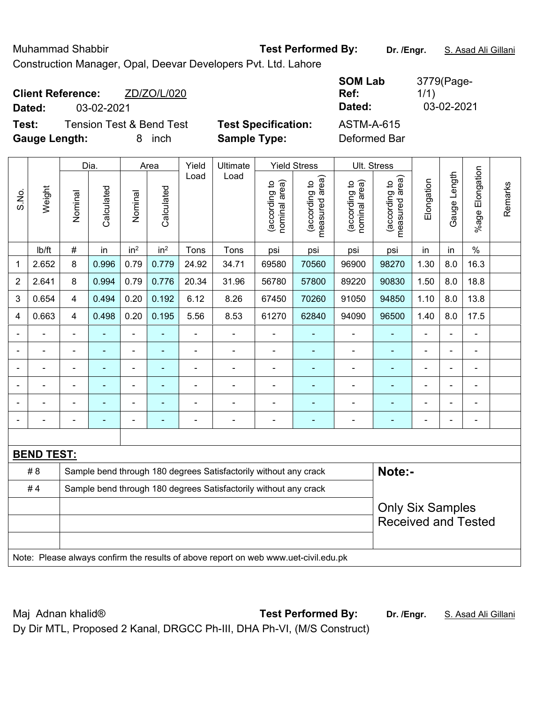Construction Manager, Opal, Deevar Developers Pvt. Ltd. Lahore **SOM Lab**  3779(Page-**Client Reference:** ZD/ZO/L/020 **Ref:**  1/1) **Dated:** 03-02-2021 **Dated:** 03-02-2021 **Test:** Tension Test & Bend Test **Test Specification:** ASTM-A-615 **Gauge Length:** 8 inch **Sample Type:** Deformed Bar Dia. | Area | Yield | Ultimate | Yield Stress | Ult. Stress %age Elongation Elongation Gauge Length Load Load Gauge Length (according to<br>measured area) measured area) measured area) (according to<br>nominal area) (according to<br>nominal area) (according to<br>measured area) nominal area) nominal area) Elongation Elongation (according to (according to (according to (according to Remarks Remarks Weight **Calculated Calculated** Calculated Calculated S.No. Nominal Nominal Vominal Nominal %age I <code>ib/ft</code>  $\mid$  #  $\mid$  in  $\mid$  in<sup>2</sup>  $\mid$  Tons  $\mid$  Tons  $\mid$  psi  $\mid$  psi  $\mid$  psi  $\mid$  in  $\mid$  in  $\mid$  % 1 | 2.652 | 8 | 0.996 | 0.79 | 0.779 | 24.92 | 34.71 | 69580 | 70560 | 96900 | 98270 | 1.30 | 8.0 | 16.3 2 | 2.641 | 8 | 0.994 | 0.79 | 0.776 | 20.34 | 31.96 | 56780 | 57800 | 89220 | 90830 | 1.50 | 8.0 | 18.8 3 | 0.654 | 4 | 0.494 | 0.20 | 0.192 | 6.12 | 8.26 | 67450 | 70260 | 91050 | 94850 | 1.10 | 8.0 | 13.8 4 | 0.663 | 4 | 0.498 | 0.20 | 0.195 | 5.56 | 8.53 | 61270 | 62840 | 94090 | 96500 | 1.40 | 8.0 | 17.5 - - - - - - - - - - - - - - - - - - - - - - - - - - - - - - - - - - - - - - - - - - - - - - - - - - - - - - - - - - - - - - - - - - - - - - - - - - - - - - - - - - - - - - - - - - **BEND TEST:**  # 8 Sample bend through 180 degrees Satisfactorily without any crack **Note:- Note:** #4 Sample bend through 180 degrees Satisfactorily without any crack Only Six Samples Received and Tested Note: Please always confirm the results of above report on web www.uet-civil.edu.pk

Muhammad Shabbir **Test Performed By:** Dr. /Engr. **S. Asad Ali Gillani** 

Maj Adnan khalid® **Test Performed By: Dr. /Engr.** S. Asad Ali Gillani Dy Dir MTL, Proposed 2 Kanal, DRGCC Ph-III, DHA Ph-VI, (M/S Construct)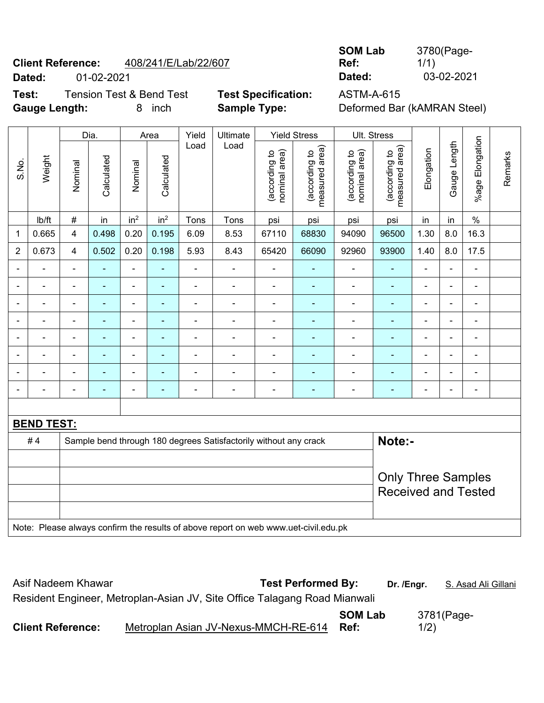# **Client Reference:** 408/241/E/Lab/22/607 **Dated:** 01-02-2021 **Dated:** 03-02-2021

**Test:** Tension Test & Bend Test **Test Specification:** ASTM-A-615

**Gauge Length:** 8 inch **Sample Type:** Deformed Bar (kAMRAN Steel)

**SOM Lab Ref:**  3780(Page- $1/1$ )<br>03-02-2021

|                |                   | Dia.<br>Yield<br>Ultimate<br><b>Yield Stress</b><br>Area |                |                          |                          |                |                                                                                     |                                |                                             | Ult. Stress                    |                                                         |                |                |                          |         |
|----------------|-------------------|----------------------------------------------------------|----------------|--------------------------|--------------------------|----------------|-------------------------------------------------------------------------------------|--------------------------------|---------------------------------------------|--------------------------------|---------------------------------------------------------|----------------|----------------|--------------------------|---------|
| S.No.          | Weight            | Nominal                                                  | Calculated     | Nominal                  | Calculated               | Load           | Load                                                                                | (according to<br>nominal area) | (according to<br>measured area)<br>measured | (according to<br>nominal area) | (according to<br>measured area)                         | Elongation     | Gauge Length   | %age Elongation          | Remarks |
|                | lb/ft             | $\#$                                                     | in             | in <sup>2</sup>          | in <sup>2</sup>          | Tons           | Tons                                                                                | psi                            | psi                                         | psi                            | psi                                                     | in             | in             | $\%$                     |         |
| $\mathbf{1}$   | 0.665             | $\overline{4}$                                           | 0.498          | 0.20                     | 0.195                    | 6.09           | 8.53                                                                                | 67110                          | 68830                                       | 94090                          | 96500                                                   | 1.30           | 8.0            | 16.3                     |         |
| $\overline{2}$ | 0.673             | $\overline{\mathbf{4}}$                                  | 0.502          | 0.20                     | 0.198                    | 5.93           | 8.43                                                                                | 65420                          | 66090                                       | 92960                          | 93900                                                   | 1.40           | 8.0            | 17.5                     |         |
|                |                   | $\blacksquare$                                           |                | ٠                        | $\overline{\phantom{0}}$ | ÷              |                                                                                     |                                |                                             | $\overline{a}$                 |                                                         | $\blacksquare$ |                |                          |         |
|                |                   | $\blacksquare$                                           | $\blacksquare$ | $\overline{\phantom{0}}$ | $\blacksquare$           | $\blacksquare$ | $\blacksquare$                                                                      | $\blacksquare$                 | $\blacksquare$                              | $\blacksquare$                 | $\blacksquare$                                          | $\blacksquare$ |                | $\blacksquare$           |         |
|                |                   |                                                          |                |                          |                          |                |                                                                                     |                                |                                             |                                |                                                         |                |                |                          |         |
|                |                   |                                                          |                |                          |                          |                |                                                                                     |                                |                                             |                                |                                                         |                |                |                          |         |
|                |                   | ٠                                                        |                | ä,                       | $\overline{\phantom{0}}$ | $\blacksquare$ | $\blacksquare$                                                                      | Ē,                             |                                             | $\blacksquare$                 | $\blacksquare$                                          | $\blacksquare$ | $\blacksquare$ | $\blacksquare$           |         |
|                |                   |                                                          |                | ä,                       | ۰                        |                |                                                                                     |                                |                                             | $\overline{\phantom{0}}$       | $\blacksquare$                                          |                |                | $\overline{\phantom{0}}$ |         |
|                |                   | Ē,                                                       | ÷              | -                        | ٠                        | ÷              | ÷                                                                                   | $\blacksquare$                 | $\blacksquare$                              | $\blacksquare$                 | ٠                                                       | $\blacksquare$ | $\blacksquare$ | ÷                        |         |
|                |                   |                                                          |                |                          |                          |                |                                                                                     |                                |                                             |                                |                                                         |                |                |                          |         |
|                |                   |                                                          |                |                          |                          |                |                                                                                     |                                |                                             |                                |                                                         |                |                |                          |         |
|                | <b>BEND TEST:</b> |                                                          |                |                          |                          |                |                                                                                     |                                |                                             |                                |                                                         |                |                |                          |         |
|                | #4                |                                                          |                |                          |                          |                | Sample bend through 180 degrees Satisfactorily without any crack                    |                                |                                             |                                | Note:-                                                  |                |                |                          |         |
|                |                   |                                                          |                |                          |                          |                |                                                                                     |                                |                                             |                                |                                                         |                |                |                          |         |
|                |                   |                                                          |                |                          |                          |                |                                                                                     |                                |                                             |                                | <b>Only Three Samples</b><br><b>Received and Tested</b> |                |                |                          |         |
|                |                   |                                                          |                |                          |                          |                | Note: Please always confirm the results of above report on web www.uet-civil.edu.pk |                                |                                             |                                |                                                         |                |                |                          |         |

| Asif Nadeem Khawar                                                        | <b>Test Performed By:</b> | Dr. /Engr. | S. Asad Ali Gillani |
|---------------------------------------------------------------------------|---------------------------|------------|---------------------|
| Resident Engineer, Metroplan-Asian JV, Site Office Talagang Road Mianwali |                           |            |                     |
| Metroplan Asian JV-Nexus-MMCH-RE-614<br><b>Client Reference:</b>          | <b>SOM Lab</b><br>Ref:    | 1/2)       | 3781(Page-          |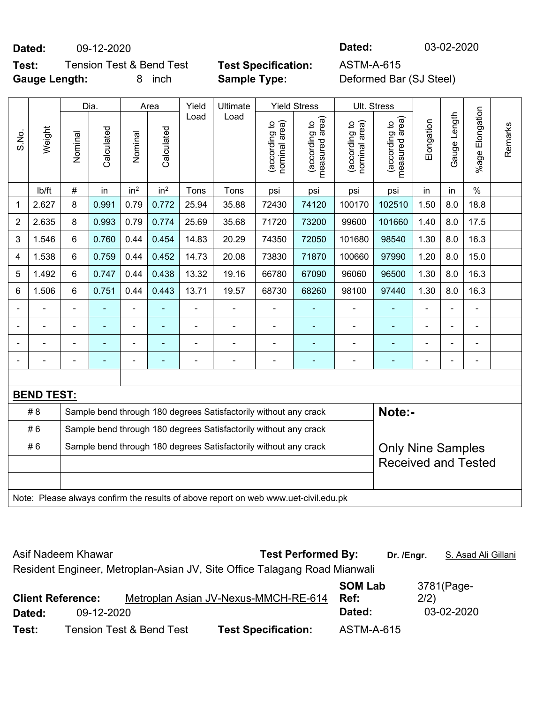### **Dated:** 09-12-2020 **Dated:** 03-02-2020

**Test:** Tension Test & Bend Test **Test Specification:** ASTM-A-615 **Gauge Length:** 8 inch **Sample Type:** Deformed Bar (SJ Steel)

|       |                   |         | Dia.                                                             |                 | Area            | Yield | Ultimate                                                                            |                                | <b>Yield Stress</b>                         | <b>Ult. Stress</b>             |                                 |                |                |                          |         |
|-------|-------------------|---------|------------------------------------------------------------------|-----------------|-----------------|-------|-------------------------------------------------------------------------------------|--------------------------------|---------------------------------------------|--------------------------------|---------------------------------|----------------|----------------|--------------------------|---------|
| S.No. | Weight            | Nominal | Calculated                                                       | Nominal         | Calculated      | Load  | Load                                                                                | nominal area)<br>(according to | (according to<br>measured area)<br>measured | nominal area)<br>(according to | (according to<br>measured area) | Elongation     | Gauge Length   | Elongation<br>$%$ age    | Remarks |
|       | lb/ft             | $\#$    | in                                                               | in <sup>2</sup> | in <sup>2</sup> | Tons  | Tons                                                                                | psi                            | psi                                         | psi                            | psi                             | in             | in             | $\%$                     |         |
| 1     | 2.627             | 8       | 0.991                                                            | 0.79            | 0.772           | 25.94 | 35.88                                                                               | 72430                          | 74120                                       | 100170                         | 102510                          | 1.50           | 8.0            | 18.8                     |         |
| 2     | 2.635             | 8       | 0.993                                                            | 0.79            | 0.774           | 25.69 | 35.68                                                                               | 71720                          | 73200                                       | 99600                          | 101660                          | 1.40           | 8.0            | 17.5                     |         |
| 3     | 1.546             | 6       | 0.760                                                            | 0.44            | 0.454           | 14.83 | 20.29                                                                               | 74350                          | 72050                                       | 101680                         | 98540                           | 1.30           | 8.0            | 16.3                     |         |
| 4     | 1.538             | 6       | 0.759                                                            | 0.44            | 0.452           | 14.73 | 20.08                                                                               | 73830                          | 71870                                       | 100660                         | 97990                           | 1.20           | 8.0            | 15.0                     |         |
| 5     | 1.492             | 6       | 0.747                                                            | 0.44            | 0.438           | 13.32 | 19.16                                                                               | 66780                          | 67090                                       | 96060                          | 96500                           | 1.30           | 8.0            | 16.3                     |         |
| 6     | 1.506             | 6       | 0.751                                                            | 0.44            | 0.443           | 13.71 | 19.57                                                                               | 68730                          | 68260                                       | 98100                          | 97440                           | 1.30           | 8.0            | 16.3                     |         |
|       |                   |         |                                                                  | $\blacksquare$  |                 |       |                                                                                     |                                |                                             |                                |                                 |                |                | $\blacksquare$           |         |
|       |                   |         |                                                                  | $\blacksquare$  |                 |       |                                                                                     |                                |                                             |                                |                                 |                | $\blacksquare$ | $\blacksquare$           |         |
|       |                   |         | $\blacksquare$                                                   | $\blacksquare$  |                 |       | $\blacksquare$                                                                      | Ē,                             | $\blacksquare$                              | $\blacksquare$                 | ä,                              |                | ä,             | $\blacksquare$           |         |
|       |                   |         | $\blacksquare$                                                   | $\blacksquare$  | ÷               |       | $\blacksquare$                                                                      | $\overline{\phantom{0}}$       | $\blacksquare$                              | ۰                              | ۰                               | $\blacksquare$ | ä,             | $\overline{\phantom{a}}$ |         |
|       |                   |         |                                                                  |                 |                 |       |                                                                                     |                                |                                             |                                |                                 |                |                |                          |         |
|       | <b>BEND TEST:</b> |         |                                                                  |                 |                 |       |                                                                                     |                                |                                             |                                |                                 |                |                |                          |         |
|       | # 8               |         |                                                                  |                 |                 |       | Sample bend through 180 degrees Satisfactorily without any crack                    |                                |                                             |                                | Note:-                          |                |                |                          |         |
|       | #6                |         | Sample bend through 180 degrees Satisfactorily without any crack |                 |                 |       |                                                                                     |                                |                                             |                                |                                 |                |                |                          |         |
|       | #6                |         |                                                                  |                 |                 |       | Sample bend through 180 degrees Satisfactorily without any crack                    |                                |                                             |                                | <b>Only Nine Samples</b>        |                |                |                          |         |
|       |                   |         |                                                                  |                 |                 |       |                                                                                     |                                |                                             |                                | <b>Received and Tested</b>      |                |                |                          |         |
|       |                   |         |                                                                  |                 |                 |       |                                                                                     |                                |                                             |                                |                                 |                |                |                          |         |
|       |                   |         |                                                                  |                 |                 |       | Note: Please always confirm the results of above report on web www.uet-civil.edu.pk |                                |                                             |                                |                                 |                |                |                          |         |

Asif Nadeem Khawar **Test Performed By:** Dr. /Engr. **S. Asad Ali Gillani** Resident Engineer, Metroplan-Asian JV, Site Office Talagang Road Mianwali **Client Reference:** Metroplan Asian JV-Nexus-MMCH-RE-614 **SOM Lab Ref:**  3781(Page-2/2) **Dated:** 09-12-2020 **Dated:** 03-02-2020

**Test:** Tension Test & Bend Test **Test Specification:** ASTM-A-615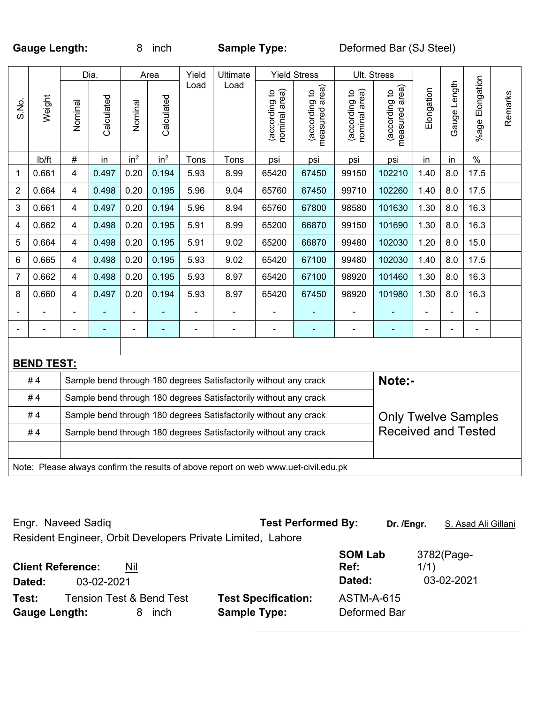Gauge Length: 8 inch **Sample Type:** Deformed Bar (SJ Steel)

|                |                    |                         | Dia.       |                 | Area            | Yield          | Ultimate                                                                            |                                | <b>Yield Stress</b>             |                                | Ult. Stress                     |                |              |                     |         |
|----------------|--------------------|-------------------------|------------|-----------------|-----------------|----------------|-------------------------------------------------------------------------------------|--------------------------------|---------------------------------|--------------------------------|---------------------------------|----------------|--------------|---------------------|---------|
| S.No.          | Weight             | Nominal                 | Calculated | Nominal         | Calculated      | Load           | Load                                                                                | (according to<br>nominal area) | (according to<br>measured area) | nominal area)<br>(according to | measured area)<br>(according to | Elongation     | Gauge Length | %age Elongation     | Remarks |
|                | lb/ft              | $\#$                    | in         | in <sup>2</sup> | in <sup>2</sup> | Tons           | Tons                                                                                | psi                            | psi                             | psi                            | psi                             | in             | in           | $\%$                |         |
| 1              | 0.661              | $\overline{\mathbf{4}}$ | 0.497      | 0.20            | 0.194           | 5.93           | 8.99                                                                                | 65420                          | 67450                           | 99150                          | 102210                          | 1.40           | 8.0          | 17.5                |         |
| $\overline{2}$ | 0.664              | 4                       | 0.498      | 0.20            | 0.195           | 5.96           | 9.04                                                                                | 65760                          | 67450                           | 99710                          | 102260                          | 1.40           | 8.0          | 17.5                |         |
| 3              | 0.661              | 4                       | 0.497      | 0.20            | 0.194           | 5.96           | 8.94                                                                                | 65760                          | 67800                           | 98580                          | 101630                          | 1.30           | 8.0          | 16.3                |         |
| 4              | 0.662              | $\overline{4}$          | 0.498      | 0.20            | 0.195           | 5.91           | 8.99                                                                                | 65200                          | 66870                           | 99150                          | 101690                          | 1.30           | 8.0          | 16.3                |         |
| 5              | 0.664              | 4                       | 0.498      | 0.20            | 0.195           | 5.91           | 9.02                                                                                | 65200                          | 66870                           | 99480                          | 102030                          | 1.20           | 8.0          | 15.0                |         |
| 6              | 0.665              | 4                       | 0.498      | 0.20            | 0.195           | 5.93           | 9.02                                                                                | 65420                          | 67100                           | 99480                          | 102030                          | 1.40           | 8.0          | 17.5                |         |
| $\overline{7}$ | 0.662              | $\overline{4}$          | 0.498      | 0.20            | 0.195           | 5.93           | 8.97                                                                                | 65420                          | 67100                           | 98920                          | 101460                          | 1.30           | 8.0          | 16.3                |         |
| 8              | 0.660              | 4                       | 0.497      | 0.20            | 0.194           | 5.93           | 8.97                                                                                | 65420                          | 67450                           | 98920                          | 101980                          | 1.30           | 8.0          | 16.3                |         |
|                |                    |                         |            |                 |                 |                | $\overline{a}$                                                                      |                                |                                 | $\overline{a}$                 |                                 |                |              | $\overline{a}$      |         |
|                | ÷,                 | $\overline{a}$          | ÷,         | $\blacksquare$  | ä,              | $\blacksquare$ | $\blacksquare$                                                                      | ÷,                             | $\blacksquare$                  | $\qquad \qquad \blacksquare$   | ÷                               | $\blacksquare$ | ÷            | $\blacksquare$      |         |
|                |                    |                         |            |                 |                 |                |                                                                                     |                                |                                 |                                |                                 |                |              |                     |         |
|                | <b>BEND TEST:</b>  |                         |            |                 |                 |                |                                                                                     |                                |                                 |                                |                                 |                |              |                     |         |
|                | #4                 |                         |            |                 |                 |                | Sample bend through 180 degrees Satisfactorily without any crack                    |                                |                                 |                                | Note:-                          |                |              |                     |         |
|                | #4                 |                         |            |                 |                 |                | Sample bend through 180 degrees Satisfactorily without any crack                    |                                |                                 |                                |                                 |                |              |                     |         |
|                | #4                 |                         |            |                 |                 |                | Sample bend through 180 degrees Satisfactorily without any crack                    |                                |                                 |                                | <b>Only Twelve Samples</b>      |                |              |                     |         |
|                | #4                 |                         |            |                 |                 |                | Sample bend through 180 degrees Satisfactorily without any crack                    |                                |                                 |                                | <b>Received and Tested</b>      |                |              |                     |         |
|                |                    |                         |            |                 |                 |                |                                                                                     |                                |                                 |                                |                                 |                |              |                     |         |
|                |                    |                         |            |                 |                 |                | Note: Please always confirm the results of above report on web www.uet-civil.edu.pk |                                |                                 |                                |                                 |                |              |                     |         |
|                |                    |                         |            |                 |                 |                |                                                                                     |                                |                                 |                                |                                 |                |              |                     |         |
|                |                    |                         |            |                 |                 |                |                                                                                     |                                |                                 |                                |                                 |                |              |                     |         |
|                | Engr. Naveed Sadiq |                         |            |                 |                 |                |                                                                                     |                                | <b>Test Performed By:</b>       |                                | Dr. /Engr.                      |                |              | S. Asad Ali Gillani |         |

Resident Engineer, Orbit Developers Private Limited, Lahore

| <b>Client Reference:</b><br>Dated: | 03-02-2021                          | Nil |      |                                                   | <b>SOM Lab</b><br>Ref:<br>Dated:  | 3782(Page-<br>1/1)<br>03-02-2021 |
|------------------------------------|-------------------------------------|-----|------|---------------------------------------------------|-----------------------------------|----------------------------------|
| Test:<br>Gauge Length:             | <b>Tension Test &amp; Bend Test</b> |     | inch | <b>Test Specification:</b><br><b>Sample Type:</b> | <b>ASTM-A-615</b><br>Deformed Bar |                                  |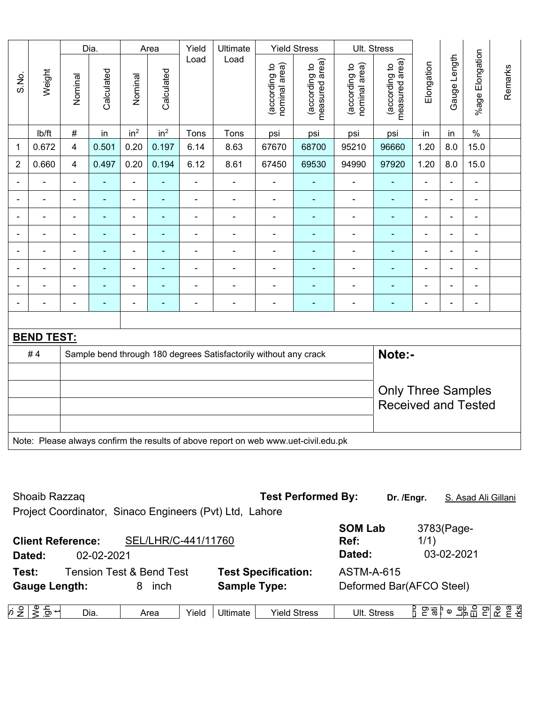|                |                   |                          | Dia.           |                 | Area                     | Yield          | Ultimate                                                                            |                                | <b>Yield Stress</b>             |                                | Ult. Stress                     |                          |                |                 |         |
|----------------|-------------------|--------------------------|----------------|-----------------|--------------------------|----------------|-------------------------------------------------------------------------------------|--------------------------------|---------------------------------|--------------------------------|---------------------------------|--------------------------|----------------|-----------------|---------|
| S.No.          | Weight            | Nominal                  | Calculated     | Nominal         | Calculated               | Load           | Load                                                                                | nominal area)<br>(according to | (according to<br>measured area) | nominal area)<br>(according to | measured area)<br>(according to | Elongation               | Gauge Length   | %age Elongation | Remarks |
|                | lb/ft             | $\#$                     | in             | in <sup>2</sup> | in <sup>2</sup>          | Tons           | Tons                                                                                | psi                            | psi                             | psi                            | psi                             | in                       | in             | $\%$            |         |
| $\mathbf 1$    | 0.672             | 4                        | 0.501          | 0.20            | 0.197                    | 6.14           | 8.63                                                                                | 67670                          | 68700                           | 95210                          | 96660                           | 1.20                     | 8.0            | 15.0            |         |
| $\overline{2}$ | 0.660             | $\overline{4}$           | 0.497          | 0.20            | 0.194                    | 6.12           | 8.61                                                                                | 67450                          | 69530                           | 94990                          | 97920                           | 1.20                     | 8.0            | 15.0            |         |
| $\blacksquare$ | $\blacksquare$    | $\overline{\phantom{a}}$ | $\blacksquare$ | $\blacksquare$  | $\blacksquare$           | $\blacksquare$ | $\blacksquare$                                                                      | $\blacksquare$                 | $\blacksquare$                  | $\blacksquare$                 | $\blacksquare$                  | $\overline{\phantom{a}}$ | $\blacksquare$ | ÷               |         |
| $\blacksquare$ | ä,                | $\blacksquare$           | $\blacksquare$ | $\blacksquare$  | $\blacksquare$           | ä,             | ÷,                                                                                  | $\blacksquare$                 | ÷,                              | $\blacksquare$                 | $\blacksquare$                  | $\blacksquare$           | ä,             | ÷,              |         |
| $\blacksquare$ | $\blacksquare$    | $\blacksquare$           | $\blacksquare$ | $\blacksquare$  | $\blacksquare$           | $\blacksquare$ | $\blacksquare$                                                                      | $\blacksquare$                 | $\blacksquare$                  | $\blacksquare$                 | $\blacksquare$                  | $\blacksquare$           | ä,             | ÷,              |         |
| $\blacksquare$ | $\blacksquare$    | $\blacksquare$           | $\blacksquare$ | $\blacksquare$  | $\overline{\phantom{a}}$ | ä,             | ä,                                                                                  | $\blacksquare$                 | $\blacksquare$                  | $\blacksquare$                 | ٠                               | $\blacksquare$           | $\blacksquare$ | $\blacksquare$  |         |
| $\blacksquare$ | $\blacksquare$    | $\blacksquare$           | $\blacksquare$ | $\blacksquare$  | $\blacksquare$           | $\blacksquare$ | $\frac{1}{2}$                                                                       | $\blacksquare$                 | $\blacksquare$                  | $\blacksquare$                 | $\blacksquare$                  | $\blacksquare$           | $\blacksquare$ | ۰               |         |
|                |                   | ä,                       | $\blacksquare$ | ä,              | $\blacksquare$           | ä,             | ä,                                                                                  | $\blacksquare$                 | ä,                              | $\blacksquare$                 | ä,                              |                          | ä,             | $\blacksquare$  |         |
|                |                   |                          |                | $\blacksquare$  |                          |                | ÷                                                                                   | $\blacksquare$                 | ۰                               | ä,                             | $\blacksquare$                  |                          |                | ۰               |         |
|                |                   | $\blacksquare$           |                | $\blacksquare$  | $\blacksquare$           | $\blacksquare$ | ä,                                                                                  | $\blacksquare$                 | ۰                               | ۳                              | $\blacksquare$                  | $\blacksquare$           | $\blacksquare$ | $\blacksquare$  |         |
|                |                   |                          |                |                 |                          |                |                                                                                     |                                |                                 |                                |                                 |                          |                |                 |         |
|                | <b>BEND TEST:</b> |                          |                |                 |                          |                |                                                                                     |                                |                                 |                                |                                 |                          |                |                 |         |
|                | #4                |                          |                |                 |                          |                | Sample bend through 180 degrees Satisfactorily without any crack                    |                                |                                 |                                | Note:-                          |                          |                |                 |         |
|                |                   |                          |                |                 |                          |                |                                                                                     |                                |                                 |                                |                                 |                          |                |                 |         |
|                |                   |                          |                |                 |                          |                |                                                                                     |                                |                                 |                                | <b>Only Three Samples</b>       |                          |                |                 |         |
|                |                   |                          |                |                 |                          |                |                                                                                     |                                |                                 |                                | <b>Received and Tested</b>      |                          |                |                 |         |
|                |                   |                          |                |                 |                          |                |                                                                                     |                                |                                 |                                |                                 |                          |                |                 |         |
|                |                   |                          |                |                 |                          |                | Note: Please always confirm the results of above report on web www.uet-civil.edu.pk |                                |                                 |                                |                                 |                          |                |                 |         |

| Shoaib Razzaq                                           |                                     | <b>Test Performed By:</b>       |                          | Dr. /Engr.<br>S. Asad Ali Gillani                  |
|---------------------------------------------------------|-------------------------------------|---------------------------------|--------------------------|----------------------------------------------------|
| Project Coordinator, Sinaco Engineers (Pvt) Ltd, Lahore |                                     |                                 |                          |                                                    |
|                                                         |                                     |                                 | <b>SOM Lab</b>           | 3783(Page-                                         |
| <b>Client Reference:</b>                                | SEL/LHR/C-441/11760                 |                                 | Ref:                     | 1/1)                                               |
| 02-02-2021<br>Dated:                                    |                                     |                                 | Dated:                   | 03-02-2021                                         |
| Test:                                                   | <b>Tension Test &amp; Bend Test</b> | <b>Test Specification:</b>      | <b>ASTM-A-615</b>        |                                                    |
| <b>Gauge Length:</b>                                    | inch<br>8                           | <b>Sample Type:</b>             | Deformed Bar(AFCO Steel) |                                                    |
|                                                         |                                     |                                 |                          |                                                    |
| ທ່ ≗  <br>Dia.<br>_ ಕಾ −                                | Yield<br>Area                       | Ultimate<br><b>Yield Stress</b> | Ult. Stress              | <u>端음 의 영</u><br>)<br>면 성<br>유 은흥 <mark>»</mark> ⊙ |
|                                                         |                                     |                                 |                          |                                                    |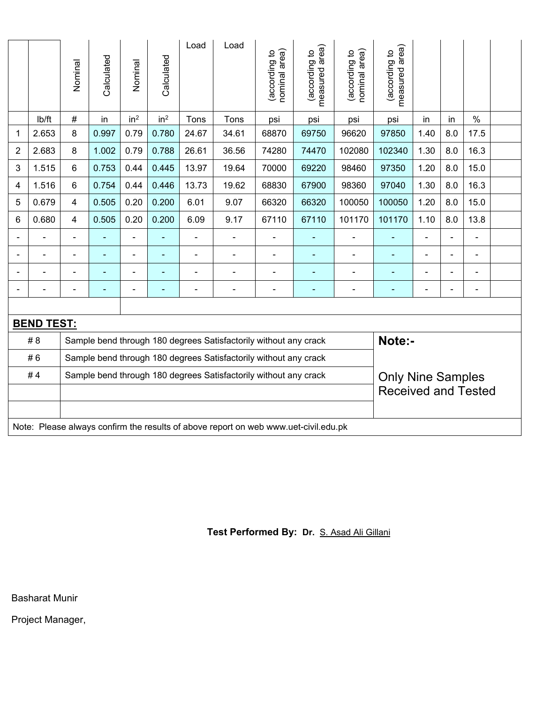|                |                   | Nominal        | Calculated     | Nominal         | Calculated      | Load           | Load                                                                                | nominal area)<br>according to | area)<br>(according to<br>measured | nominal area)<br>(according to | measured area)<br>(according to |      |     |                |  |
|----------------|-------------------|----------------|----------------|-----------------|-----------------|----------------|-------------------------------------------------------------------------------------|-------------------------------|------------------------------------|--------------------------------|---------------------------------|------|-----|----------------|--|
|                | lb/ft             | #              | in             | in <sup>2</sup> | in <sup>2</sup> | Tons           | Tons                                                                                | psi                           | psi                                | psi                            | psi                             | in   | in  | $\%$           |  |
| 1              | 2.653             | 8              | 0.997          | 0.79            | 0.780           | 24.67          | 34.61                                                                               | 68870                         | 69750                              | 96620                          | 97850                           | 1.40 | 8.0 | 17.5           |  |
| 2              | 2.683             | 8              | 1.002          | 0.79            | 0.788           | 26.61          | 36.56                                                                               | 74280                         | 74470                              | 102080                         | 102340                          | 1.30 | 8.0 | 16.3           |  |
| 3              | 1.515             | 6              | 0.753          | 0.44            | 0.445           | 13.97          | 19.64                                                                               | 70000                         | 69220                              | 98460                          | 97350                           | 1.20 | 8.0 | 15.0           |  |
| 4              | 1.516             | 6              | 0.754          | 0.44            | 0.446           | 13.73          | 19.62                                                                               | 68830                         | 67900                              | 98360                          | 97040                           | 1.30 | 8.0 | 16.3           |  |
| 5              | 0.679             | 4              | 0.505          | 0.20            | 0.200           | 6.01           | 9.07                                                                                | 66320                         | 66320                              | 100050                         | 100050                          | 1.20 | 8.0 | 15.0           |  |
| 6              | 0.680             | 4              | 0.505          | 0.20            | 0.200           | 6.09           | 9.17                                                                                | 67110                         | 67110                              | 101170                         | 101170                          | 1.10 | 8.0 | 13.8           |  |
| Ξ.             |                   | $\blacksquare$ |                |                 |                 | $\blacksquare$ | $\blacksquare$                                                                      |                               |                                    | $\blacksquare$                 | ÷                               |      | -   | $\blacksquare$ |  |
| Ξ.             |                   | $\blacksquare$ | $\blacksquare$ | $\blacksquare$  | ٠               | Ē,             | $\blacksquare$                                                                      | $\blacksquare$                | $\blacksquare$                     | $\blacksquare$                 | ۰                               |      | ä,  | $\blacksquare$ |  |
| $\blacksquare$ |                   |                |                |                 |                 |                |                                                                                     |                               |                                    |                                |                                 |      |     |                |  |
| Ξ.             |                   |                | $\blacksquare$ | $\blacksquare$  |                 |                | $\blacksquare$                                                                      | $\blacksquare$                |                                    | $\blacksquare$                 | ۰                               |      | ä,  | $\blacksquare$ |  |
|                |                   |                |                |                 |                 |                |                                                                                     |                               |                                    |                                |                                 |      |     |                |  |
|                | <b>BEND TEST:</b> |                |                |                 |                 |                |                                                                                     |                               |                                    |                                |                                 |      |     |                |  |
|                | # 8               |                |                |                 |                 |                | Sample bend through 180 degrees Satisfactorily without any crack                    |                               |                                    |                                | Note:-                          |      |     |                |  |
|                | #6                |                |                |                 |                 |                | Sample bend through 180 degrees Satisfactorily without any crack                    |                               |                                    |                                |                                 |      |     |                |  |
|                | #4                |                |                |                 |                 |                | Sample bend through 180 degrees Satisfactorily without any crack                    |                               |                                    |                                | <b>Only Nine Samples</b>        |      |     |                |  |
|                |                   |                |                |                 |                 |                |                                                                                     |                               |                                    |                                | <b>Received and Tested</b>      |      |     |                |  |
|                |                   |                |                |                 |                 |                |                                                                                     |                               |                                    |                                |                                 |      |     |                |  |
|                |                   |                |                |                 |                 |                | Note: Please always confirm the results of above report on web www.uet-civil.edu.pk |                               |                                    |                                |                                 |      |     |                |  |

# **Test Performed By: Dr.** S. Asad Ali Gillani

Basharat Munir

Project Manager,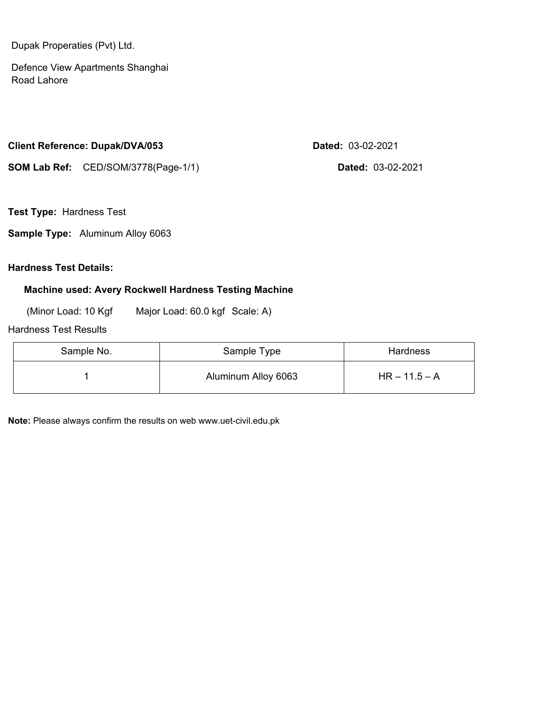Dupak Properaties (Pvt) Ltd.

Defence View Apartments Shanghai Road Lahore

#### **Client Reference: Dupak/DVA/053 Dated:** 03-02-2021

**SOM Lab Ref:** CED/SOM/3778(Page-1/1) **Dated:** 03-02-2021

**Test Type:** Hardness Test

**Sample Type:** Aluminum Alloy 6063

### **Hardness Test Details:**

### **Machine used: Avery Rockwell Hardness Testing Machine**

(Minor Load: 10 Kgf Major Load: 60.0 kgf Scale: A)

#### Hardness Test Results

| Sample No. | Sample Type         | <b>Hardness</b> |
|------------|---------------------|-----------------|
|            | Aluminum Alloy 6063 | $HR - 11.5 - A$ |

**Note:** Please always confirm the results on web www.uet-civil.edu.pk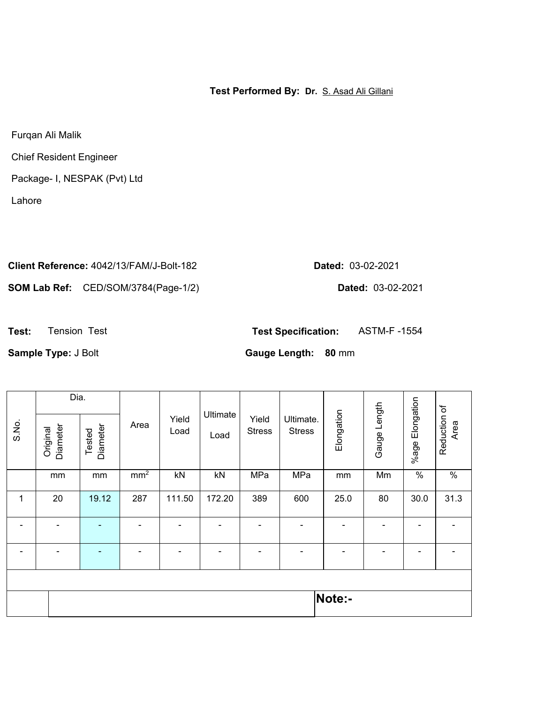**Test Performed By: Dr.** S. Asad Ali Gillani

Furqan Ali Malik

Chief Resident Engineer

Package- I, NESPAK (Pvt) Ltd

Lahore

# **Client Reference:** 4042/13/FAM/J-Bolt-182 **Dated:** 03-02-2021

**SOM Lab Ref:** CED/SOM/3784(Page-1/2) **Dated:** 03-02-2021

**Test:** Tension Test **Test Specification:** ASTM-F -1554

**Sample Type:** J Bolt **Gauge Length: 80** mm

|              | Dia.                 |                    |                 |                          |                  |                        |                            |            |                |                       |                      |
|--------------|----------------------|--------------------|-----------------|--------------------------|------------------|------------------------|----------------------------|------------|----------------|-----------------------|----------------------|
| S.No.        | Diameter<br>Original | Diameter<br>Tested | Area            | Yield<br>Load            | Ultimate<br>Load | Yield<br><b>Stress</b> | Ultimate.<br><b>Stress</b> | Elongation | Gauge Length   | Elongation<br>$%$ age | Reduction of<br>Area |
|              | mm                   | mm                 | mm <sup>2</sup> | kN                       | kN               | MPa                    | MPa                        | mm         | Mm             | $\%$                  | $\%$                 |
| $\mathbf{1}$ | 20                   | 19.12              | 287             | 111.50                   | 172.20           | 389                    | 600                        | 25.0       | 80             | 30.0                  | 31.3                 |
|              |                      | $\blacksquare$     |                 | $\blacksquare$           |                  | $\blacksquare$         |                            |            | $\blacksquare$ |                       |                      |
|              |                      | ۰                  |                 | $\overline{\phantom{0}}$ |                  | $\blacksquare$         |                            |            |                |                       |                      |
|              |                      |                    |                 |                          |                  |                        |                            |            |                |                       |                      |
|              |                      |                    |                 |                          |                  |                        |                            | Note:-     |                |                       |                      |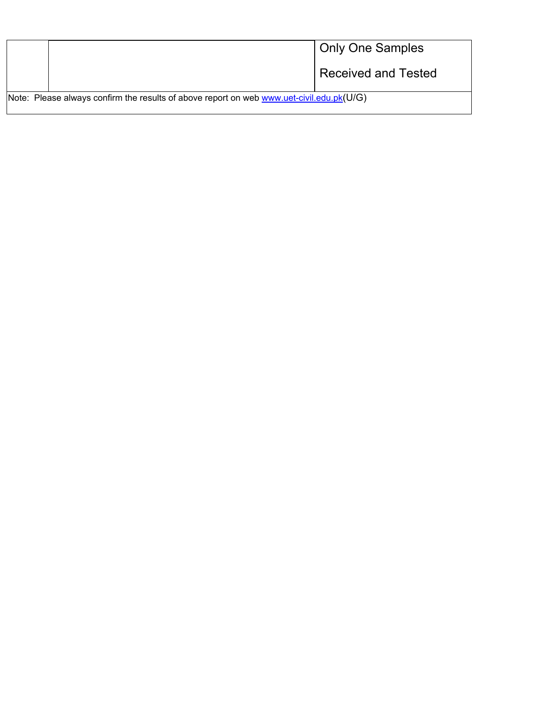|                                                                                              | <b>Only One Samples</b>    |
|----------------------------------------------------------------------------------------------|----------------------------|
|                                                                                              | <b>Received and Tested</b> |
| Note: Please always confirm the results of above report on web www.uet-civil.edu.pk( $U/G$ ) |                            |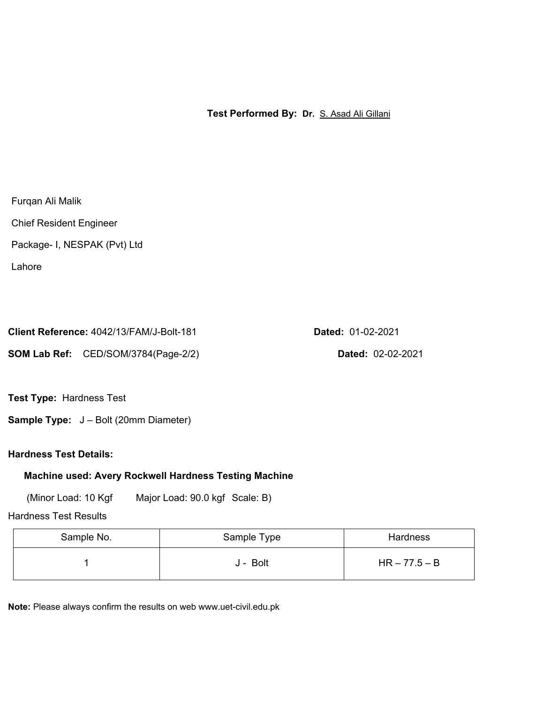**Test Performed By: Dr.** S. Asad Ali Gillani

Furqan Ali Malik

Chief Resident Engineer

Package- I, NESPAK (Pvt) Ltd

Lahore

| Client Reference: 4042/13/FAM/J-Bolt-181 |
|------------------------------------------|
|                                          |

**SOM Lab Ref:** CED/SOM/3784(Page-2/2) **Dated:** 02-02-2021

**Client Reference:** 4042/13/FAM/J-Bolt-181 **Dated:** 01-02-2021

**Test Type:** Hardness Test

**Sample Type:** J – Bolt (20mm Diameter)

**Hardness Test Details:** 

# **Machine used: Avery Rockwell Hardness Testing Machine**

(Minor Load: 10 Kgf Major Load: 90.0 kgf Scale: B)

Hardness Test Results

| Sample No. | Sample Type | Hardness        |
|------------|-------------|-----------------|
|            | J - Bolt    | $HR - 77.5 - B$ |

**Note:** Please always confirm the results on web www.uet-civil.edu.pk